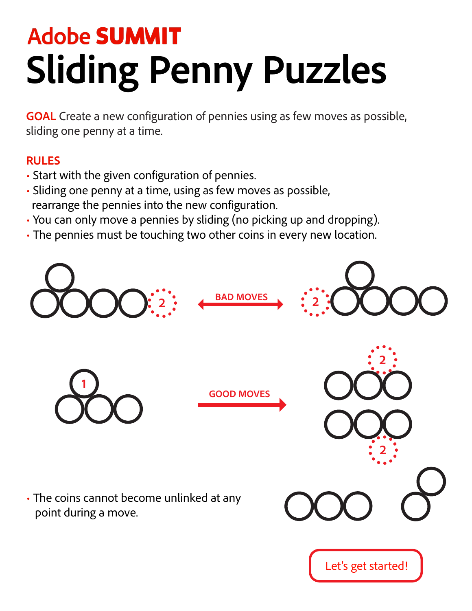### **Adobe SUMMIT Sliding Penny Puzzles**

**GOAL** Create a new configuration of pennies using as few moves as possible, sliding one penny at a time.

#### **RULES**

- Start with the given configuration of pennies.
- Sliding one penny at a time, using as few moves as possible, rearrange the pennies into the new configuration.
- You can only move a pennies by sliding (no picking up and dropping).
- The pennies must be touching two other coins in every new location.

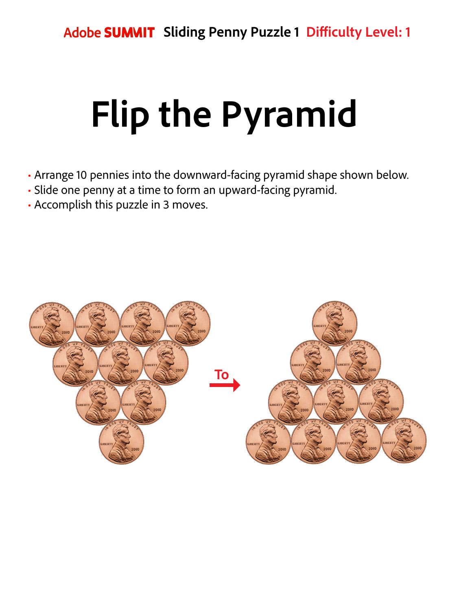# **Flip the Pyramid**

- Arrange 10 pennies into the downward-facing pyramid shape shown below.
- Slide one penny at a time to form an upward-facing pyramid.
- Accomplish this puzzle in 3 moves.

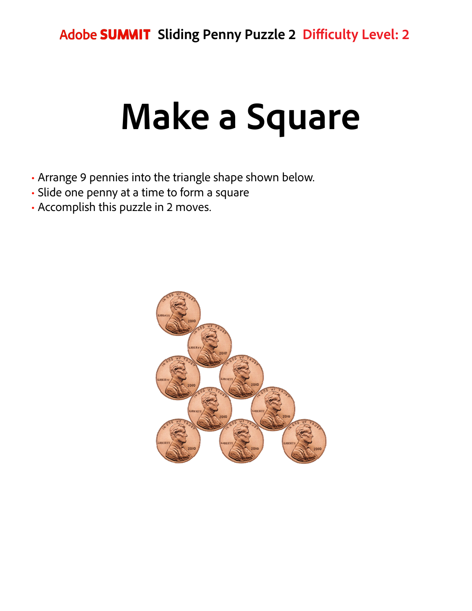## **Make a Square**

- Arrange 9 pennies into the triangle shape shown below.
- Slide one penny at a time to form a square
- Accomplish this puzzle in 2 moves.